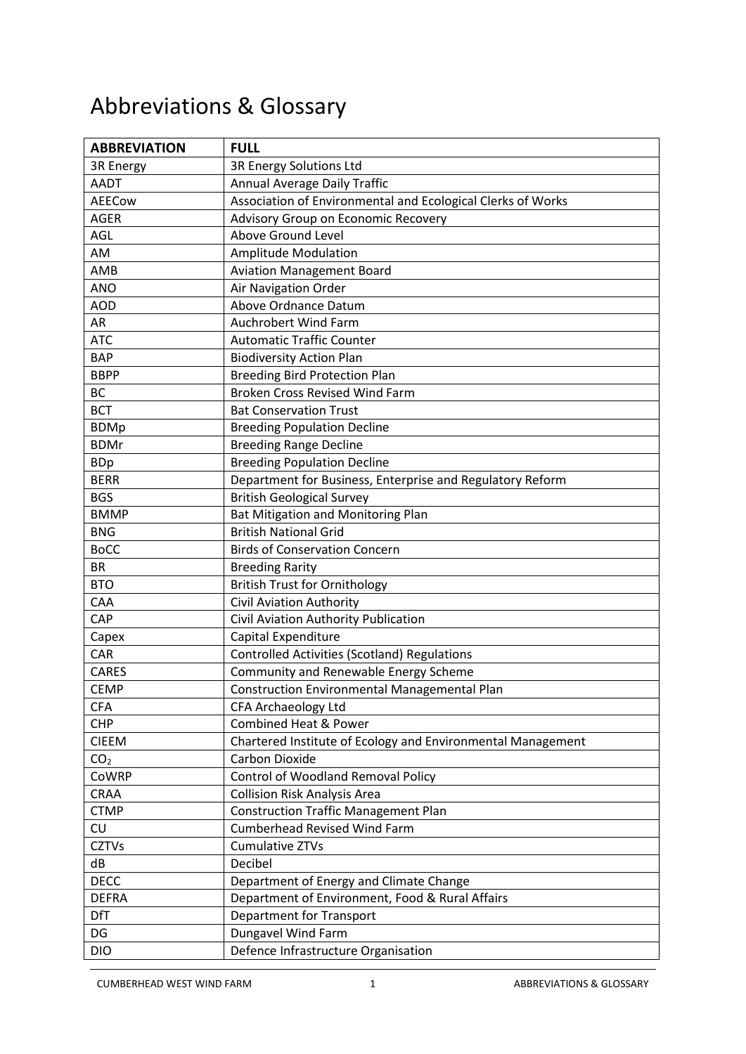## Abbreviations & Glossary

| <b>ABBREVIATION</b> | <b>FULL</b>                                                 |
|---------------------|-------------------------------------------------------------|
| 3R Energy           | 3R Energy Solutions Ltd                                     |
| <b>AADT</b>         | Annual Average Daily Traffic                                |
| <b>AEECow</b>       | Association of Environmental and Ecological Clerks of Works |
| <b>AGER</b>         | Advisory Group on Economic Recovery                         |
| <b>AGL</b>          | Above Ground Level                                          |
| AM                  | <b>Amplitude Modulation</b>                                 |
| AMB                 | <b>Aviation Management Board</b>                            |
| <b>ANO</b>          | Air Navigation Order                                        |
| <b>AOD</b>          | Above Ordnance Datum                                        |
| AR                  | <b>Auchrobert Wind Farm</b>                                 |
| <b>ATC</b>          | <b>Automatic Traffic Counter</b>                            |
| <b>BAP</b>          | <b>Biodiversity Action Plan</b>                             |
| <b>BBPP</b>         | <b>Breeding Bird Protection Plan</b>                        |
| BC                  | <b>Broken Cross Revised Wind Farm</b>                       |
| <b>BCT</b>          | <b>Bat Conservation Trust</b>                               |
| <b>BDMp</b>         | <b>Breeding Population Decline</b>                          |
| <b>BDMr</b>         | <b>Breeding Range Decline</b>                               |
| <b>BDp</b>          | <b>Breeding Population Decline</b>                          |
| <b>BERR</b>         | Department for Business, Enterprise and Regulatory Reform   |
| <b>BGS</b>          | <b>British Geological Survey</b>                            |
| <b>BMMP</b>         | <b>Bat Mitigation and Monitoring Plan</b>                   |
| <b>BNG</b>          | <b>British National Grid</b>                                |
| <b>BoCC</b>         | <b>Birds of Conservation Concern</b>                        |
| <b>BR</b>           | <b>Breeding Rarity</b>                                      |
| <b>BTO</b>          | <b>British Trust for Ornithology</b>                        |
| CAA                 | <b>Civil Aviation Authority</b>                             |
| CAP                 | Civil Aviation Authority Publication                        |
| Capex               | Capital Expenditure                                         |
| CAR                 | <b>Controlled Activities (Scotland) Regulations</b>         |
| CARES               | Community and Renewable Energy Scheme                       |
| <b>CEMP</b>         | <b>Construction Environmental Managemental Plan</b>         |
| <b>CFA</b>          | CFA Archaeology Ltd                                         |
| <b>CHP</b>          | <b>Combined Heat &amp; Power</b>                            |
| <b>CIEEM</b>        | Chartered Institute of Ecology and Environmental Management |
| CO <sub>2</sub>     | Carbon Dioxide                                              |
| CoWRP               | Control of Woodland Removal Policy                          |
| CRAA                | <b>Collision Risk Analysis Area</b>                         |
| <b>CTMP</b>         | <b>Construction Traffic Management Plan</b>                 |
| CU                  | <b>Cumberhead Revised Wind Farm</b>                         |
| <b>CZTVs</b>        | Cumulative ZTVs                                             |
| dB                  | Decibel                                                     |
| <b>DECC</b>         | Department of Energy and Climate Change                     |
| <b>DEFRA</b>        | Department of Environment, Food & Rural Affairs             |
| <b>DfT</b>          | <b>Department for Transport</b>                             |
| DG                  | Dungavel Wind Farm                                          |
| <b>DIO</b>          | Defence Infrastructure Organisation                         |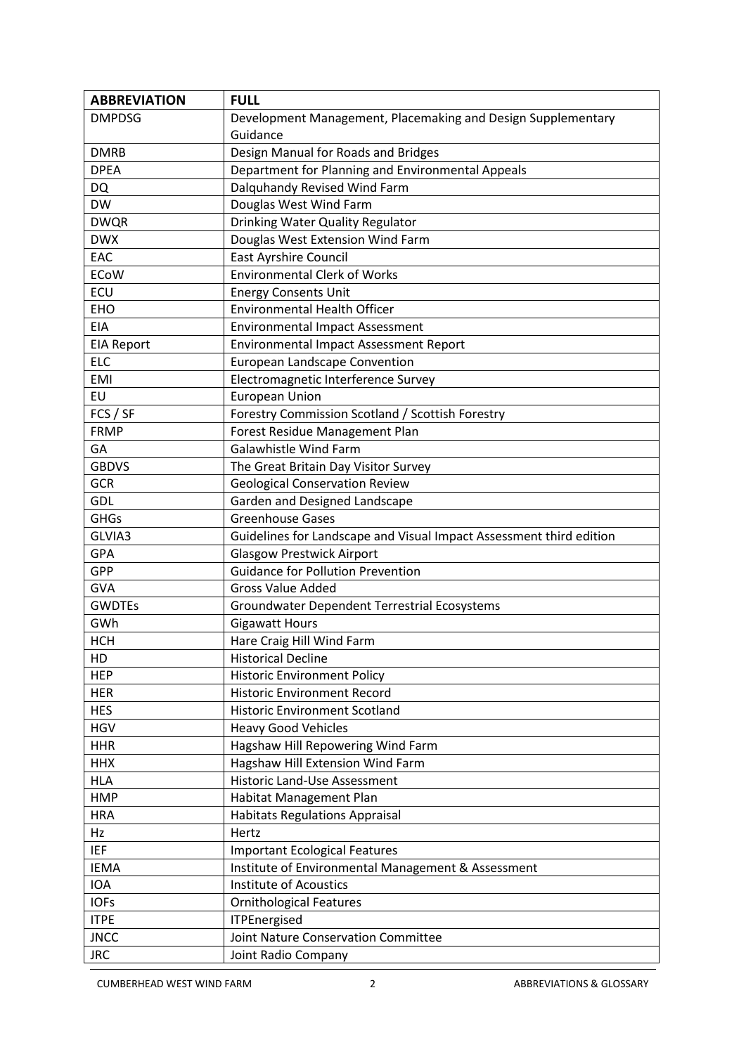| <b>ABBREVIATION</b> | <b>FULL</b>                                                         |
|---------------------|---------------------------------------------------------------------|
| <b>DMPDSG</b>       | Development Management, Placemaking and Design Supplementary        |
|                     | Guidance                                                            |
| <b>DMRB</b>         | Design Manual for Roads and Bridges                                 |
| <b>DPEA</b>         | Department for Planning and Environmental Appeals                   |
| <b>DQ</b>           | Dalquhandy Revised Wind Farm                                        |
| <b>DW</b>           | Douglas West Wind Farm                                              |
| <b>DWQR</b>         | Drinking Water Quality Regulator                                    |
| <b>DWX</b>          | Douglas West Extension Wind Farm                                    |
| EAC                 | <b>East Ayrshire Council</b>                                        |
| <b>ECoW</b>         | <b>Environmental Clerk of Works</b>                                 |
| ECU                 | <b>Energy Consents Unit</b>                                         |
| <b>EHO</b>          | <b>Environmental Health Officer</b>                                 |
| <b>EIA</b>          | <b>Environmental Impact Assessment</b>                              |
| <b>EIA Report</b>   | Environmental Impact Assessment Report                              |
| <b>ELC</b>          | <b>European Landscape Convention</b>                                |
| <b>EMI</b>          | Electromagnetic Interference Survey                                 |
| EU                  | <b>European Union</b>                                               |
| FCS / SF            | Forestry Commission Scotland / Scottish Forestry                    |
| <b>FRMP</b>         | Forest Residue Management Plan                                      |
| GA                  | <b>Galawhistle Wind Farm</b>                                        |
| <b>GBDVS</b>        | The Great Britain Day Visitor Survey                                |
| GCR                 | <b>Geological Conservation Review</b>                               |
| <b>GDL</b>          | Garden and Designed Landscape                                       |
| <b>GHGs</b>         | <b>Greenhouse Gases</b>                                             |
| GLVIA3              | Guidelines for Landscape and Visual Impact Assessment third edition |
| <b>GPA</b>          | <b>Glasgow Prestwick Airport</b>                                    |
| GPP                 | <b>Guidance for Pollution Prevention</b>                            |
| <b>GVA</b>          | <b>Gross Value Added</b>                                            |
| <b>GWDTEs</b>       | Groundwater Dependent Terrestrial Ecosystems                        |
| GWh                 | <b>Gigawatt Hours</b>                                               |
| <b>HCH</b>          | Hare Craig Hill Wind Farm                                           |
| HD                  | <b>Historical Decline</b>                                           |
| <b>HEP</b>          | <b>Historic Environment Policy</b>                                  |
| <b>HER</b>          | <b>Historic Environment Record</b>                                  |
| <b>HES</b>          | <b>Historic Environment Scotland</b>                                |
| <b>HGV</b>          | <b>Heavy Good Vehicles</b>                                          |
| <b>HHR</b>          | Hagshaw Hill Repowering Wind Farm                                   |
| <b>HHX</b>          | Hagshaw Hill Extension Wind Farm                                    |
| <b>HLA</b>          | <b>Historic Land-Use Assessment</b>                                 |
| <b>HMP</b>          | Habitat Management Plan                                             |
| <b>HRA</b>          | <b>Habitats Regulations Appraisal</b>                               |
| Hz                  | Hertz                                                               |
| <b>IEF</b>          | <b>Important Ecological Features</b>                                |
| <b>IEMA</b>         | Institute of Environmental Management & Assessment                  |
| <b>IOA</b>          | <b>Institute of Acoustics</b>                                       |
| <b>IOFs</b>         | <b>Ornithological Features</b>                                      |
| <b>ITPE</b>         | <b>ITPEnergised</b>                                                 |
| <b>JNCC</b>         | Joint Nature Conservation Committee                                 |
| <b>JRC</b>          | Joint Radio Company                                                 |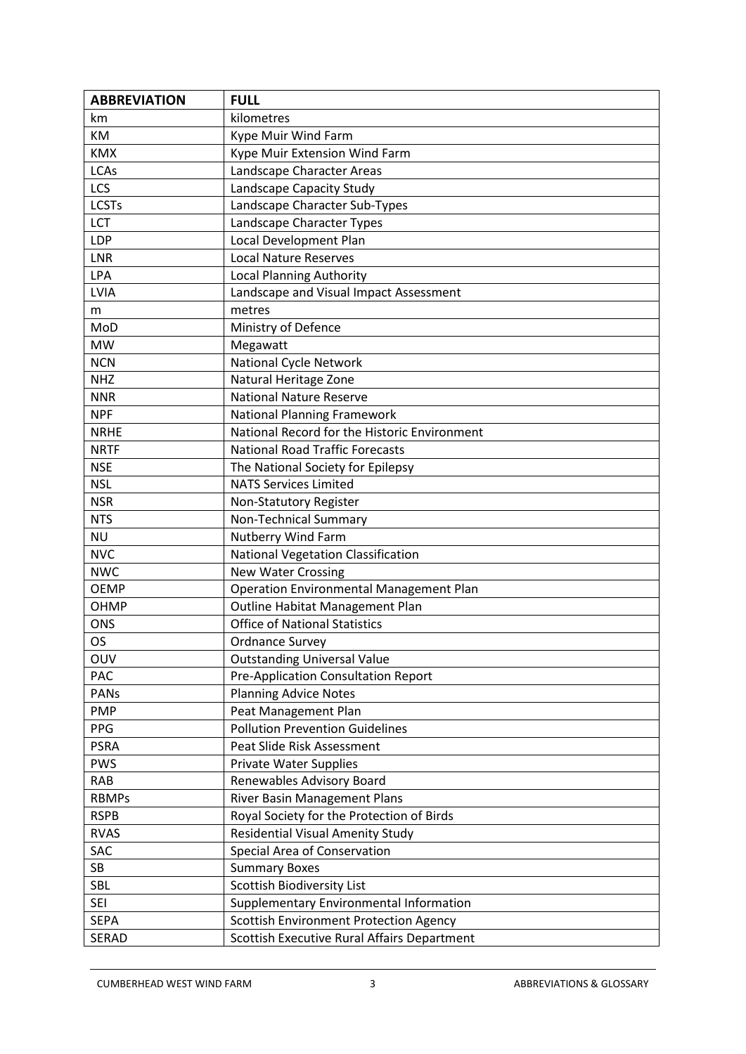| <b>ABBREVIATION</b> | <b>FULL</b>                                    |
|---------------------|------------------------------------------------|
| km                  | kilometres                                     |
| KM                  | Kype Muir Wind Farm                            |
| <b>KMX</b>          | Kype Muir Extension Wind Farm                  |
| <b>LCAs</b>         | Landscape Character Areas                      |
| LCS                 | Landscape Capacity Study                       |
| <b>LCSTs</b>        | Landscape Character Sub-Types                  |
| LCT                 | Landscape Character Types                      |
| LDP                 | Local Development Plan                         |
| LNR                 | <b>Local Nature Reserves</b>                   |
| LPA                 | <b>Local Planning Authority</b>                |
| LVIA                | Landscape and Visual Impact Assessment         |
| m                   | metres                                         |
| MoD                 | Ministry of Defence                            |
| <b>MW</b>           | Megawatt                                       |
| <b>NCN</b>          | National Cycle Network                         |
| <b>NHZ</b>          | Natural Heritage Zone                          |
| <b>NNR</b>          | <b>National Nature Reserve</b>                 |
| <b>NPF</b>          | <b>National Planning Framework</b>             |
| <b>NRHE</b>         | National Record for the Historic Environment   |
| <b>NRTF</b>         | <b>National Road Traffic Forecasts</b>         |
| <b>NSE</b>          | The National Society for Epilepsy              |
| <b>NSL</b>          | <b>NATS Services Limited</b>                   |
| <b>NSR</b>          | Non-Statutory Register                         |
| <b>NTS</b>          | Non-Technical Summary                          |
| <b>NU</b>           | <b>Nutberry Wind Farm</b>                      |
| <b>NVC</b>          | National Vegetation Classification             |
| <b>NWC</b>          | <b>New Water Crossing</b>                      |
| <b>OEMP</b>         | <b>Operation Environmental Management Plan</b> |
| OHMP                | Outline Habitat Management Plan                |
| <b>ONS</b>          | <b>Office of National Statistics</b>           |
| <b>OS</b>           | <b>Ordnance Survey</b>                         |
| OUV                 | <b>Outstanding Universal Value</b>             |
| PAC                 | Pre-Application Consultation Report            |
| PANs                | <b>Planning Advice Notes</b>                   |
| <b>PMP</b>          | Peat Management Plan                           |
| PPG                 | <b>Pollution Prevention Guidelines</b>         |
| <b>PSRA</b>         | Peat Slide Risk Assessment                     |
| <b>PWS</b>          | <b>Private Water Supplies</b>                  |
| <b>RAB</b>          | Renewables Advisory Board                      |
| <b>RBMPs</b>        | River Basin Management Plans                   |
| <b>RSPB</b>         | Royal Society for the Protection of Birds      |
| <b>RVAS</b>         | Residential Visual Amenity Study               |
| SAC                 | Special Area of Conservation                   |
| <b>SB</b>           | <b>Summary Boxes</b>                           |
| <b>SBL</b>          | <b>Scottish Biodiversity List</b>              |
| <b>SEI</b>          | Supplementary Environmental Information        |
| <b>SEPA</b>         | <b>Scottish Environment Protection Agency</b>  |
| <b>SERAD</b>        | Scottish Executive Rural Affairs Department    |